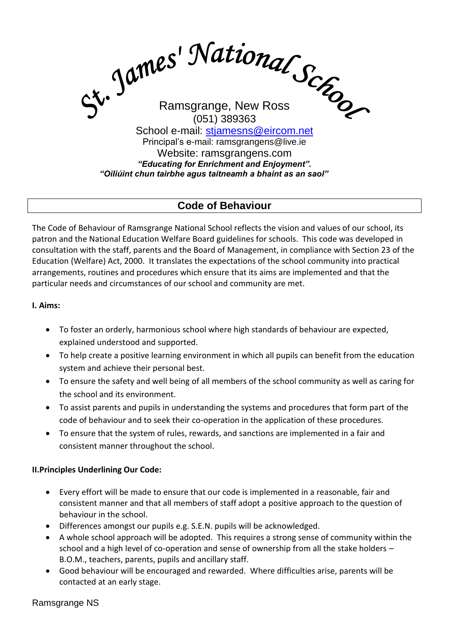

# **Code of Behaviour**

The Code of Behaviour of Ramsgrange National School reflects the vision and values of our school, its patron and the National Education Welfare Board guidelines for schools. This code was developed in consultation with the staff, parents and the Board of Management, in compliance with Section 23 of the Education (Welfare) Act, 2000. It translates the expectations of the school community into practical arrangements, routines and procedures which ensure that its aims are implemented and that the particular needs and circumstances of our school and community are met.

### **I. Aims:**

- To foster an orderly, harmonious school where high standards of behaviour are expected, explained understood and supported.
- To help create a positive learning environment in which all pupils can benefit from the education system and achieve their personal best.
- To ensure the safety and well being of all members of the school community as well as caring for the school and its environment.
- To assist parents and pupils in understanding the systems and procedures that form part of the code of behaviour and to seek their co-operation in the application of these procedures.
- To ensure that the system of rules, rewards, and sanctions are implemented in a fair and consistent manner throughout the school.

### **II.Principles Underlining Our Code:**

- Every effort will be made to ensure that our code is implemented in a reasonable, fair and consistent manner and that all members of staff adopt a positive approach to the question of behaviour in the school.
- Differences amongst our pupils e.g. S.E.N. pupils will be acknowledged.
- A whole school approach will be adopted. This requires a strong sense of community within the school and a high level of co-operation and sense of ownership from all the stake holders – B.O.M., teachers, parents, pupils and ancillary staff.
- Good behaviour will be encouraged and rewarded. Where difficulties arise, parents will be contacted at an early stage.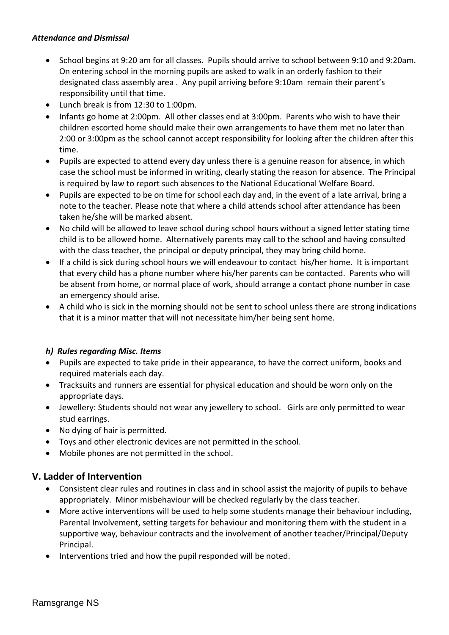### *Attendance and Dismissal*

- School begins at 9:20 am for all classes. Pupils should arrive to school between 9:10 and 9:20am. On entering school in the morning pupils are asked to walk in an orderly fashion to their designated class assembly area . Any pupil arriving before 9:10am remain their parent's responsibility until that time.
- Lunch break is from 12:30 to 1:00pm.
- Infants go home at 2:00pm. All other classes end at 3:00pm. Parents who wish to have their children escorted home should make their own arrangements to have them met no later than 2:00 or 3:00pm as the school cannot accept responsibility for looking after the children after this time.
- Pupils are expected to attend every day unless there is a genuine reason for absence, in which case the school must be informed in writing, clearly stating the reason for absence. The Principal is required by law to report such absences to the National Educational Welfare Board.
- Pupils are expected to be on time for school each day and, in the event of a late arrival, bring a note to the teacher. Please note that where a child attends school after attendance has been taken he/she will be marked absent.
- No child will be allowed to leave school during school hours without a signed letter stating time child is to be allowed home. Alternatively parents may call to the school and having consulted with the class teacher, the principal or deputy principal, they may bring child home.
- If a child is sick during school hours we will endeavour to contact his/her home. It is important that every child has a phone number where his/her parents can be contacted. Parents who will be absent from home, or normal place of work, should arrange a contact phone number in case an emergency should arise.
- A child who is sick in the morning should not be sent to school unless there are strong indications that it is a minor matter that will not necessitate him/her being sent home.

### *h) Rules regarding Misc. Items*

- Pupils are expected to take pride in their appearance, to have the correct uniform, books and required materials each day.
- Tracksuits and runners are essential for physical education and should be worn only on the appropriate days.
- Jewellery: Students should not wear any jewellery to school. Girls are only permitted to wear stud earrings.
- No dying of hair is permitted.
- Toys and other electronic devices are not permitted in the school.
- Mobile phones are not permitted in the school.

## **V. Ladder of Intervention**

- Consistent clear rules and routines in class and in school assist the majority of pupils to behave appropriately. Minor misbehaviour will be checked regularly by the class teacher.
- More active interventions will be used to help some students manage their behaviour including, Parental Involvement, setting targets for behaviour and monitoring them with the student in a supportive way, behaviour contracts and the involvement of another teacher/Principal/Deputy Principal.
- Interventions tried and how the pupil responded will be noted.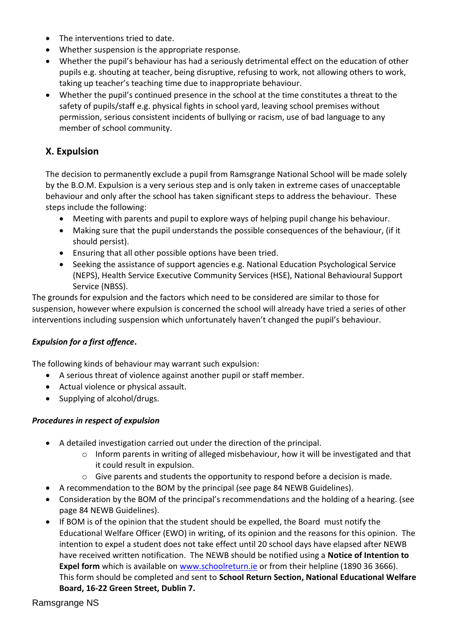- The interventions tried to date.
- Whether suspension is the appropriate response.
- Whether the pupil's behaviour has had a seriously detrimental effect on the education of other pupils e.g. shouting at teacher, being disruptive, refusing to work, not allowing others to work, taking up teacher's teaching time due to inappropriate behaviour.
- Whether the pupil's continued presence in the school at the time constitutes a threat to the safety of pupils/staff e.g. physical fights in school yard, leaving school premises without permission, serious consistent incidents of bullying or racism, use of bad language to any member of school community.

## **X. Expulsion**

The decision to permanently exclude a pupil from Ramsgrange National School will be made solely by the B.O.M. Expulsion is a very serious step and is only taken in extreme cases of unacceptable behaviour and only after the school has taken significant steps to address the behaviour. These steps include the following:

- Meeting with parents and pupil to explore ways of helping pupil change his behaviour.
- Making sure that the pupil understands the possible consequences of the behaviour, (if it should persist).
- Ensuring that all other possible options have been tried.
- Seeking the assistance of support agencies e.g. National Education Psychological Service (NEPS), Health Service Executive Community Services (HSE), National Behavioural Support Service (NBSS).

The grounds for expulsion and the factors which need to be considered are similar to those for suspension, however where expulsion is concerned the school will already have tried a series of other interventions including suspension which unfortunately haven't changed the pupil's behaviour.

## *Expulsion for a first offence***.**

The following kinds of behaviour may warrant such expulsion:

- A serious threat of violence against another pupil or staff member.
- Actual violence or physical assault.
- Supplying of alcohol/drugs.

### *Procedures in respect of expulsion*

- A detailed investigation carried out under the direction of the principal.
	- $\circ$  Inform parents in writing of alleged misbehaviour, how it will be investigated and that it could result in expulsion.
	- $\circ$  Give parents and students the opportunity to respond before a decision is made.
- A recommendation to the BOM by the principal (see page 84 NEWB Guidelines).
- Consideration by the BOM of the principal's recommendations and the holding of a hearing. (see page 84 NEWB Guidelines).
- If BOM is of the opinion that the student should be expelled, the Board must notify the Educational Welfare Officer (EWO) in writing, of its opinion and the reasons for this opinion. The intention to expel a student does not take effect until 20 school days have elapsed after NEWB have received written notification. The NEWB should be notified using a **Notice of Intention to** Expel form which is available on [www.schoolreturn.ie](http://www.schoolreturn.ie/) or from their helpline (1890 36 3666). This form should be completed and sent to **School Return Section, National Educational Welfare Board, 16-22 Green Street, Dublin 7.**